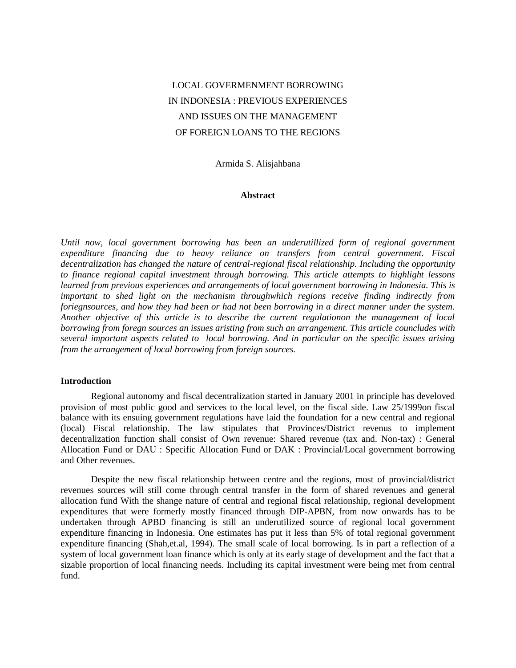# LOCAL GOVERMENMENT BORROWING IN INDONESIA : PREVIOUS EXPERIENCES AND ISSUES ON THE MANAGEMENT OF FOREIGN LOANS TO THE REGIONS

Armida S. Alisjahbana

### **Abstract**

*Until now, local government borrowing has been an underutillized form of regional government expenditure financing due to heavy reliance on transfers from central government. Fiscal decentralization has changed the nature of central-regional fiscal relationship. Including the opportunity to finance regional capital investment through borrowing. This article attempts to highlight lessons learned from previous experiences and arrangements of local government borrowing in Indonesia. This is important to shed light on the mechanism throughwhich regions receive finding indirectly from foriegnsources, and how they had been or had not been borrowing in a direct manner under the system. Another objective of this article is to describe the current regulationon the management of local borrowing from foregn sources an issues aristing from such an arrangement. This article councludes with several important aspects related to local borrowing. And in particular on the specific issues arising from the arrangement of local borrowing from foreign sources.*

#### **Introduction**

Regional autonomy and fiscal decentralization started in January 2001 in principle has develoved provision of most public good and services to the local level, on the fiscal side. Law 25/1999on fiscal balance with its ensuing government regulations have laid the foundation for a new central and regional (local) Fiscal relationship. The law stipulates that Provinces/District revenus to implement decentralization function shall consist of Own revenue: Shared revenue (tax and. Non-tax) : General Allocation Fund or DAU : Specific Allocation Fund or DAK : Provincial/Local government borrowing and Other revenues.

Despite the new fiscal relationship between centre and the regions, most of provincial/district revenues sources will still come through central transfer in the form of shared revenues and general allocation fund With the shange nature of central and regional fiscal relationship, regional development expenditures that were formerly mostly financed through DIP-APBN, from now onwards has to be undertaken through APBD financing is still an underutilized source of regional local government expenditure financing in Indonesia. One estimates has put it less than 5% of total regional government expenditure financing (Shah,et.al, 1994). The small scale of local borrowing. Is in part a reflection of a system of local government loan finance which is only at its early stage of development and the fact that a sizable proportion of local financing needs. Including its capital investment were being met from central fund.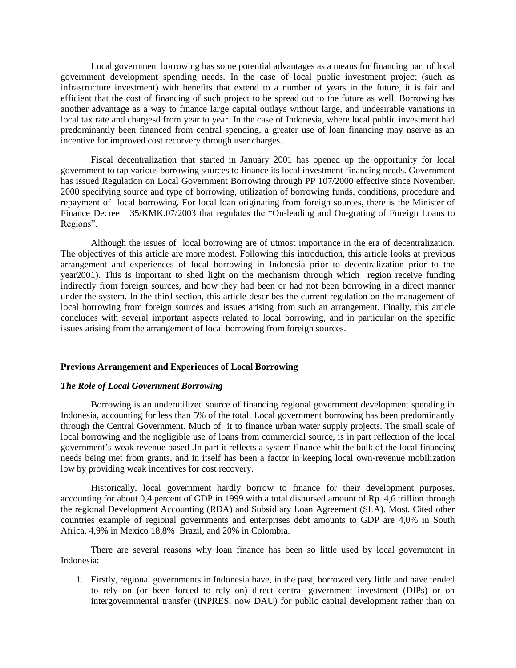Local government borrowing has some potential advantages as a means for financing part of local government development spending needs. In the case of local public investment project (such as infrastructure investment) with benefits that extend to a number of years in the future, it is fair and efficient that the cost of financing of such project to be spread out to the future as well. Borrowing has another advantage as a way to finance large capital outlays without large, and undesirable variations in local tax rate and chargesd from year to year. In the case of Indonesia, where local public investment had predominantly been financed from central spending, a greater use of loan financing may nserve as an incentive for improved cost recorvery through user charges.

Fiscal decentralization that started in January 2001 has opened up the opportunity for local government to tap various borrowing sources to finance its local investment financing needs. Government has issued Regulation on Local Government Borrowing through PP 107/2000 effective since November. 2000 specifying source and type of borrowing, utilization of borrowing funds, conditions, procedure and repayment of local borrowing. For local loan originating from foreign sources, there is the Minister of Finance Decree 35/KMK.07/2003 that regulates the "On-leading and On-grating of Foreign Loans to Regions".

Although the issues of local borrowing are of utmost importance in the era of decentralization. The objectives of this article are more modest. Following this introduction, this article looks at previous arrangement and experiences of local borrowing in Indonesia prior to decentralization prior to the year2001). This is important to shed light on the mechanism through which region receive funding indirectly from foreign sources, and how they had been or had not been borrowing in a direct manner under the system. In the third section, this article describes the current regulation on the management of local borrowing from foreign sources and issues arising from such an arrangement. Finally, this article concludes with several important aspects related to local borrowing, and in particular on the specific issues arising from the arrangement of local borrowing from foreign sources.

#### **Previous Arrangement and Experiences of Local Borrowing**

# *The Role of Local Government Borrowing*

Borrowing is an underutilized source of financing regional government development spending in Indonesia, accounting for less than 5% of the total. Local government borrowing has been predominantly through the Central Government. Much of it to finance urban water supply projects. The small scale of local borrowing and the negligible use of loans from commercial source, is in part reflection of the local government's weak revenue based .In part it reflects a system finance whit the bulk of the local financing needs being met from grants, and in itself has been a factor in keeping local own-revenue mobilization low by providing weak incentives for cost recovery.

Historically, local government hardly borrow to finance for their development purposes, accounting for about 0,4 percent of GDP in 1999 with a total disbursed amount of Rp. 4,6 trillion through the regional Development Accounting (RDA) and Subsidiary Loan Agreement (SLA). Most. Cited other countries example of regional governments and enterprises debt amounts to GDP are 4,0% in South Africa. 4,9% in Mexico 18,8%Brazil, and 20% in Colombia.

There are several reasons why loan finance has been so little used by local government in Indonesia:

1. Firstly, regional governments in Indonesia have, in the past, borrowed very little and have tended to rely on (or been forced to rely on) direct central government investment (DIPs) or on intergovernmental transfer (INPRES, now DAU) for public capital development rather than on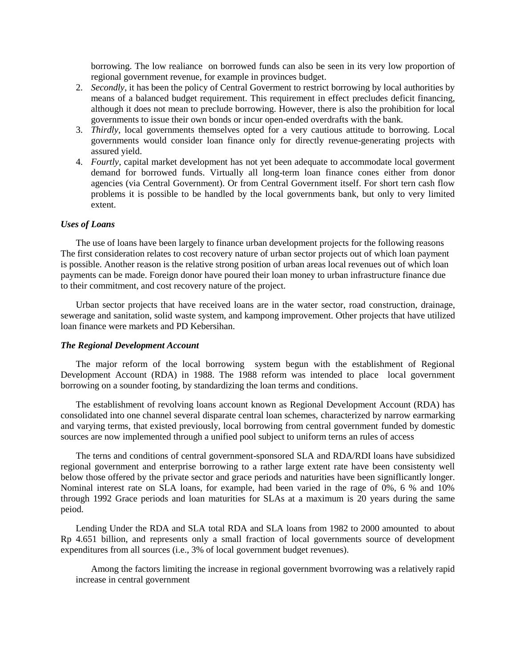borrowing. The low realiance on borrowed funds can also be seen in its very low proportion of regional government revenue, for example in provinces budget.

- 2. *Secondly*, it has been the policy of Central Goverment to restrict borrowing by local authorities by means of a balanced budget requirement. This requirement in effect precludes deficit financing, although it does not mean to preclude borrowing. However, there is also the prohibition for local governments to issue their own bonds or incur open-ended overdrafts with the bank.
- 3. *Thirdly,* local governments themselves opted for a very cautious attitude to borrowing. Local governments would consider loan finance only for directly revenue-generating projects with assured yield.
- 4. *Fourtly,* capital market development has not yet been adequate to accommodate local goverment demand for borrowed funds. Virtually all long-term loan finance cones either from donor agencies (via Central Government). Or from Central Government itself. For short tern cash flow problems it is possible to be handled by the local governments bank, but only to very limited extent.

#### *Uses of Loans*

The use of loans have been largely to finance urban development projects for the following reasons The first consideration relates to cost recovery nature of urban sector projects out of which loan payment is possible. Another reason is the relative strong position of urban areas local revenues out of which loan payments can be made. Foreign donor have poured their loan money to urban infrastructure finance due to their commitment, and cost recovery nature of the project.

Urban sector projects that have received loans are in the water sector, road construction, drainage, sewerage and sanitation, solid waste system, and kampong improvement. Other projects that have utilized loan finance were markets and PD Kebersihan.

#### *The Regional Development Account*

The major reform of the local borrowing system begun with the establishment of Regional Development Account (RDA) in 1988. The 1988 reform was intended to place local government borrowing on a sounder footing, by standardizing the loan terms and conditions.

The establishment of revolving loans account known as Regional Development Account (RDA) has consolidated into one channel several disparate central loan schemes, characterized by narrow earmarking and varying terms, that existed previously, local borrowing from central government funded by domestic sources are now implemented through a unified pool subject to uniform terns an rules of access

The terns and conditions of central government-sponsored SLA and RDA/RDI loans have subsidized regional government and enterprise borrowing to a rather large extent rate have been consistenty well below those offered by the private sector and grace periods and naturities have been signiflicantly longer. Nominal interest rate on SLA loans, for example, had been varied in the rage of 0%, 6 % and 10% through 1992 Grace periods and loan maturities for SLAs at a maximum is 20 years during the same peiod.

Lending Under the RDA and SLA total RDA and SLA loans from 1982 to 2000 amounted to about Rp 4.651 billion, and represents only a small fraction of local governments source of development expenditures from all sources (i.e., 3% of local government budget revenues).

Among the factors limiting the increase in regional government bvorrowing was a relatively rapid increase in central government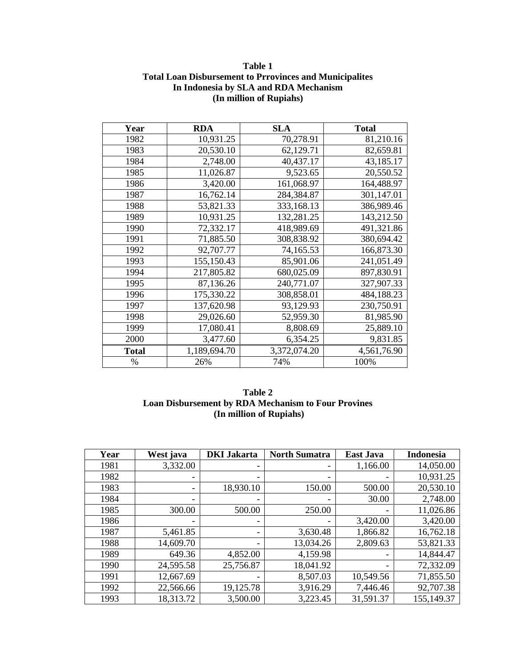# **Table 1 Total Loan Disbursement to Prrovinces and Municipalites In Indonesia by SLA and RDA Mechanism (In million of Rupiahs)**

| Year         | <b>RDA</b>   | <b>SLA</b>   | <b>Total</b> |
|--------------|--------------|--------------|--------------|
| 1982         | 10,931.25    | 70,278.91    | 81,210.16    |
| 1983         | 20,530.10    | 62,129.71    | 82,659.81    |
| 1984         | 2,748.00     | 40,437.17    | 43,185.17    |
| 1985         | 11,026.87    | 9,523.65     | 20,550.52    |
| 1986         | 3,420.00     | 161,068.97   | 164,488.97   |
| 1987         | 16,762.14    | 284,384.87   | 301,147.01   |
| 1988         | 53,821.33    | 333,168.13   | 386,989.46   |
| 1989         | 10,931.25    | 132,281.25   | 143,212.50   |
| 1990         | 72,332.17    | 418,989.69   | 491,321.86   |
| 1991         | 71,885.50    | 308,838.92   | 380,694.42   |
| 1992         | 92,707.77    | 74,165.53    | 166,873.30   |
| 1993         | 155,150.43   | 85,901.06    | 241,051.49   |
| 1994         | 217,805.82   | 680,025.09   | 897,830.91   |
| 1995         | 87,136.26    | 240,771.07   | 327,907.33   |
| 1996         | 175,330.22   | 308,858.01   | 484,188.23   |
| 1997         | 137,620.98   | 93,129.93    | 230,750.91   |
| 1998         | 29,026.60    | 52,959.30    | 81,985.90    |
| 1999         | 17,080.41    | 8,808.69     | 25,889.10    |
| 2000         | 3,477.60     | 6,354.25     | 9,831.85     |
| <b>Total</b> | 1,189,694.70 | 3,372,074.20 | 4,561,76.90  |
| %            | 26%          | 74%          | 100%         |

# **Table 2 Loan Disbursement by RDA Mechanism to Four Provines (In million of Rupiahs)**

| Year | West java | <b>DKI</b> Jakarta       | <b>North Sumatra</b> | <b>East Java</b>         | <b>Indonesia</b> |
|------|-----------|--------------------------|----------------------|--------------------------|------------------|
| 1981 | 3,332.00  |                          |                      | 1,166.00                 | 14,050.00        |
| 1982 |           |                          |                      | $\overline{\phantom{0}}$ | 10,931.25        |
| 1983 |           | 18,930.10                | 150.00               | 500.00                   | 20,530.10        |
| 1984 |           |                          |                      | 30.00                    | 2,748.00         |
| 1985 | 300.00    | 500.00                   | 250.00               |                          | 11,026.86        |
| 1986 |           |                          |                      | 3,420.00                 | 3,420.00         |
| 1987 | 5,461.85  | $\overline{\phantom{a}}$ | 3,630.48             | 1,866.82                 | 16,762.18        |
| 1988 | 14,609.70 |                          | 13,034.26            | 2,809.63                 | 53,821.33        |
| 1989 | 649.36    | 4,852.00                 | 4,159.98             | $\qquad \qquad$          | 14,844.47        |
| 1990 | 24,595.58 | 25,756.87                | 18,041.92            |                          | 72,332.09        |
| 1991 | 12,667.69 |                          | 8,507.03             | 10,549.56                | 71,855.50        |
| 1992 | 22,566.66 | 19,125.78                | 3,916.29             | 7,446.46                 | 92,707.38        |
| 1993 | 18,313.72 | 3,500.00                 | 3,223.45             | 31,591.37                | 155,149.37       |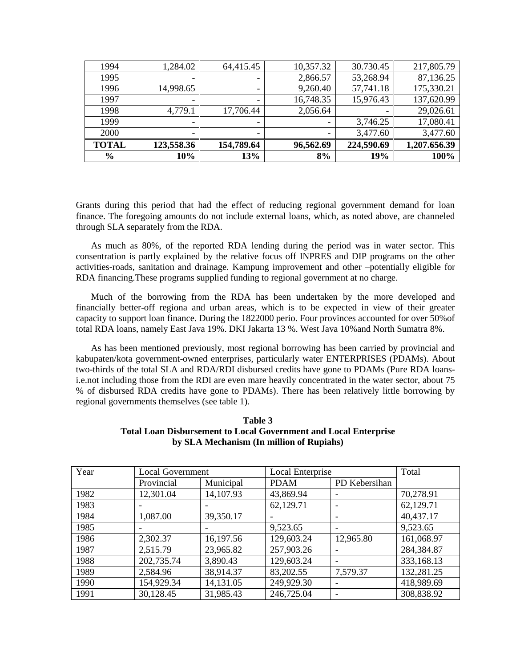| $\frac{6}{6}$ | 10%        | 13%        | 8%        | 19%        | 100%         |
|---------------|------------|------------|-----------|------------|--------------|
| <b>TOTAL</b>  | 123,558.36 | 154,789.64 | 96,562.69 | 224,590.69 | 1,207.656.39 |
| 2000          | -          |            |           | 3,477.60   | 3,477.60     |
| 1999          | -          |            |           | 3,746.25   | 17,080.41    |
| 1998          | 4,779.1    | 17,706.44  | 2,056.64  |            | 29,026.61    |
| 1997          |            |            | 16,748.35 | 15,976.43  | 137,620.99   |
| 1996          | 14,998.65  |            | 9,260.40  | 57,741.18  | 175,330.21   |
| 1995          |            |            | 2,866.57  | 53,268.94  | 87,136.25    |
| 1994          | 1,284.02   | 64,415.45  | 10,357.32 | 30.730.45  | 217,805.79   |

Grants during this period that had the effect of reducing regional government demand for loan finance. The foregoing amounts do not include external loans, which, as noted above, are channeled through SLA separately from the RDA.

As much as 80%, of the reported RDA lending during the period was in water sector. This consentration is partly explained by the relative focus off INPRES and DIP programs on the other activities-roads, sanitation and drainage. Kampung improvement and other –potentially eligible for RDA financing.These programs supplied funding to regional government at no charge.

Much of the borrowing from the RDA has been undertaken by the more developed and financially better-off regiona and urban areas, which is to be expected in view of their greater capacity to support loan finance. During the 1822000 perio. Four provinces accounted for over 50%of total RDA loans, namely East Java 19%. DKI Jakarta 13 %. West Java 10%and North Sumatra 8%.

As has been mentioned previously, most regional borrowing has been carried by provincial and kabupaten/kota government-owned enterprises, particularly water ENTERPRISES (PDAMs). About two-thirds of the total SLA and RDA/RDI disbursed credits have gone to PDAMs (Pure RDA loansi.e.not including those from the RDI are even mare heavily concentrated in the water sector, about 75 % of disbursed RDA credits have gone to PDAMs). There has been relatively little borrowing by regional governments themselves (see table 1).

| Table 3                                                                 |
|-------------------------------------------------------------------------|
| <b>Total Loan Disbursement to Local Government and Local Enterprise</b> |
| by SLA Mechanism (In million of Rupiahs)                                |

| Year | <b>Local Government</b> |           | Local Enterprise |               | Total      |
|------|-------------------------|-----------|------------------|---------------|------------|
|      | Provincial              | Municipal | <b>PDAM</b>      | PD Kebersihan |            |
| 1982 | 12,301.04               | 14,107.93 | 43,869.94        |               | 70,278.91  |
| 1983 |                         |           | 62,129.71        |               | 62,129.71  |
| 1984 | 1,087.00                | 39,350.17 |                  |               | 40,437.17  |
| 1985 |                         |           | 9,523.65         |               | 9,523.65   |
| 1986 | 2,302.37                | 16,197.56 | 129,603.24       | 12,965.80     | 161,068.97 |
| 1987 | 2,515.79                | 23,965.82 | 257,903.26       |               | 284,384.87 |
| 1988 | 202,735.74              | 3,890.43  | 129,603.24       |               | 333,168.13 |
| 1989 | 2,584.96                | 38,914.37 | 83,202.55        | 7,579.37      | 132,281.25 |
| 1990 | 154,929.34              | 14,131.05 | 249,929.30       |               | 418,989.69 |
| 1991 | 30,128.45               | 31,985.43 | 246,725.04       |               | 308,838.92 |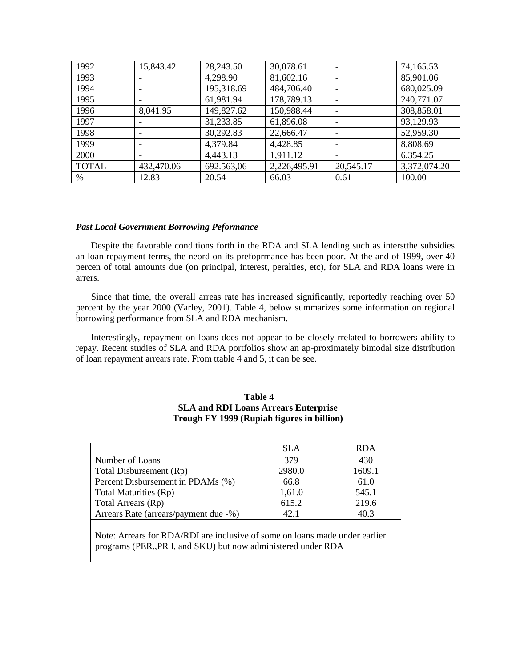| 1992         | 15,843.42  | 28,243.50  | 30,078.61    |           | 74,165.53    |
|--------------|------------|------------|--------------|-----------|--------------|
| 1993         |            | 4,298.90   | 81,602.16    |           | 85,901.06    |
| 1994         |            | 195,318.69 | 484,706.40   |           | 680,025.09   |
| 1995         | ۰          | 61,981.94  | 178,789.13   |           | 240,771.07   |
| 1996         | 8,041.95   | 149,827.62 | 150,988.44   |           | 308,858.01   |
| 1997         |            | 31,233.85  | 61,896.08    |           | 93,129.93    |
| 1998         |            | 30,292.83  | 22,666.47    |           | 52,959.30    |
| 1999         | ٠          | 4,379.84   | 4,428.85     |           | 8,808.69     |
| 2000         | ٠          | 4,443.13   | 1,911.12     |           | 6,354.25     |
| <b>TOTAL</b> | 432,470.06 | 692.563,06 | 2,226,495.91 | 20,545.17 | 3,372,074.20 |
| %            | 12.83      | 20.54      | 66.03        | 0.61      | 100.00       |

# *Past Local Government Borrowing Peformance*

Despite the favorable conditions forth in the RDA and SLA lending such as interstthe subsidies an loan repayment terms, the neord on its prefoprmance has been poor. At the and of 1999, over 40 percen of total amounts due (on principal, interest, peralties, etc), for SLA and RDA loans were in arrers.

Since that time, the overall arreas rate has increased significantly, reportedly reaching over 50 percent by the year 2000 (Varley, 2001). Table 4, below summarizes some information on regional borrowing performance from SLA and RDA mechanism.

Interestingly, repayment on loans does not appear to be closely rrelated to borrowers ability to repay. Recent studies of SLA and RDA portfolios show an ap-proximately bimodal size distribution of loan repayment arrears rate. From ttable 4 and 5, it can be see.

# **Table 4 SLA and RDI Loans Arrears Enterprise Trough FY 1999 (Rupiah figures in billion)**

|                                                                                                                                             | <b>SLA</b> | <b>RDA</b> |  |  |  |
|---------------------------------------------------------------------------------------------------------------------------------------------|------------|------------|--|--|--|
| Number of Loans                                                                                                                             | 379        | 430        |  |  |  |
| Total Disbursement (Rp)                                                                                                                     | 2980.0     | 1609.1     |  |  |  |
| Percent Disbursement in PDAMs (%)                                                                                                           | 66.8       | 61.0       |  |  |  |
| Total Maturities (Rp)                                                                                                                       | 1,61.0     | 545.1      |  |  |  |
| Total Arrears (Rp)                                                                                                                          | 615.2      | 219.6      |  |  |  |
| Arrears Rate (arrears/payment due -%)                                                                                                       | 42.1       | 40.3       |  |  |  |
| Note: Arrears for RDA/RDI are inclusive of some on loans made under earlier<br>programs (PER, PR I, and SKU) but now administered under RDA |            |            |  |  |  |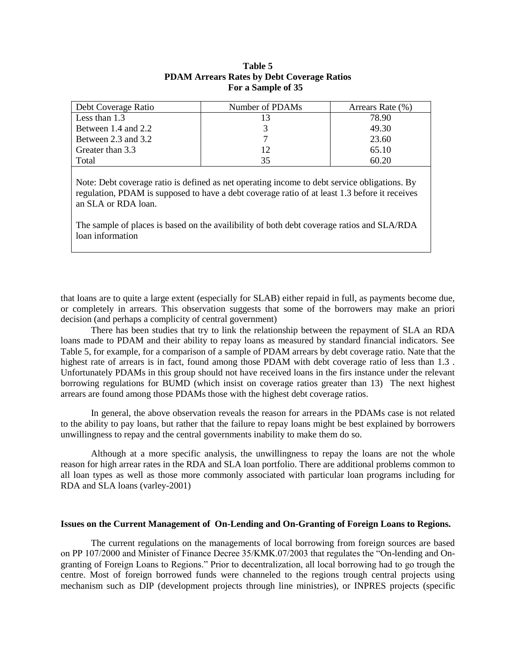| Debt Coverage Ratio | Number of PDAMs | Arrears Rate (%) |
|---------------------|-----------------|------------------|
| Less than 1.3       | 13              | 78.90            |
| Between 1.4 and 2.2 |                 | 49.30            |
| Between 2.3 and 3.2 |                 | 23.60            |
| Greater than 3.3    | 12              | 65.10            |
| Total               | 35              | 60.20            |
|                     |                 |                  |

# **Table 5 PDAM Arrears Rates by Debt Coverage Ratios For a Sample of 35**

Note: Debt coverage ratio is defined as net operating income to debt service obligations. By regulation, PDAM is supposed to have a debt coverage ratio of at least 1.3 before it receives an SLA or RDA loan.

The sample of places is based on the availibility of both debt coverage ratios and SLA/RDA loan information

that loans are to quite a large extent (especially for SLAB) either repaid in full, as payments become due, or completely in arrears. This observation suggests that some of the borrowers may make an priori decision (and perhaps a complicity of central government)

There has been studies that try to link the relationship between the repayment of SLA an RDA loans made to PDAM and their ability to repay loans as measured by standard financial indicators. See Table 5, for example, for a comparison of a sample of PDAM arrears by debt coverage ratio. Nate that the highest rate of arrears is in fact, found among those PDAM with debt coverage ratio of less than 1.3 . Unfortunately PDAMs in this group should not have received loans in the firs instance under the relevant borrowing regulations for BUMD (which insist on coverage ratios greater than 13) The next highest arrears are found among those PDAMs those with the highest debt coverage ratios.

In general, the above observation reveals the reason for arrears in the PDAMs case is not related to the ability to pay loans, but rather that the failure to repay loans might be best explained by borrowers unwillingness to repay and the central governments inability to make them do so.

Although at a more specific analysis, the unwillingness to repay the loans are not the whole reason for high arrear rates in the RDA and SLA loan portfolio. There are additional problems common to all loan types as well as those more commonly associated with particular loan programs including for RDA and SLA loans (varley-2001)

# **Issues on the Current Management of On-Lending and On-Granting of Foreign Loans to Regions.**

The current regulations on the managements of local borrowing from foreign sources are based on PP 107/2000 and Minister of Finance Decree 35/KMK.07/2003 that regulates the "On-lending and Ongranting of Foreign Loans to Regions." Prior to decentralization, all local borrowing had to go trough the centre. Most of foreign borrowed funds were channeled to the regions trough central projects using mechanism such as DIP (development projects through line ministries), or INPRES projects (specific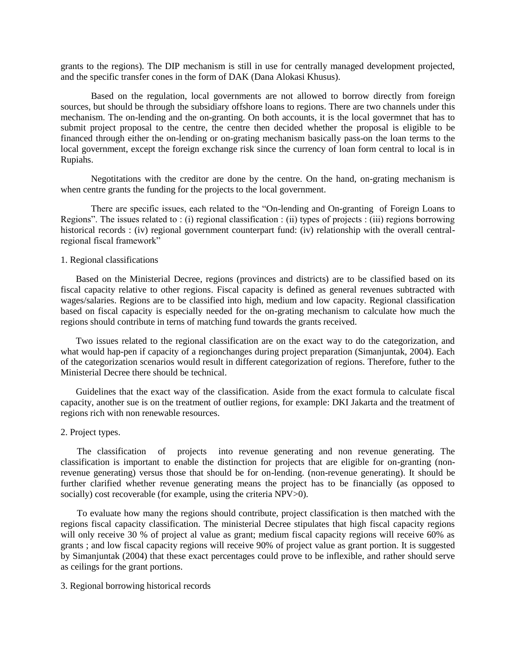grants to the regions). The DIP mechanism is still in use for centrally managed development projected, and the specific transfer cones in the form of DAK (Dana Alokasi Khusus).

Based on the regulation, local governments are not allowed to borrow directly from foreign sources, but should be through the subsidiary offshore loans to regions. There are two channels under this mechanism. The on-lending and the on-granting. On both accounts, it is the local govermnet that has to submit project proposal to the centre, the centre then decided whether the proposal is eligible to be financed through either the on-lending or on-grating mechanism basically pass-on the loan terms to the local government, except the foreign exchange risk since the currency of loan form central to local is in Rupiahs.

Negotitations with the creditor are done by the centre. On the hand, on-grating mechanism is when centre grants the funding for the projects to the local government.

There are specific issues, each related to the "On-lending and On-granting of Foreign Loans to Regions". The issues related to : (i) regional classification : (ii) types of projects : (iii) regions borrowing historical records : (iv) regional government counterpart fund: (iv) relationship with the overall centralregional fiscal framework"

#### 1. Regional classifications

Based on the Ministerial Decree, regions (provinces and districts) are to be classified based on its fiscal capacity relative to other regions. Fiscal capacity is defined as general revenues subtracted with wages/salaries. Regions are to be classified into high, medium and low capacity. Regional classification based on fiscal capacity is especially needed for the on-grating mechanism to calculate how much the regions should contribute in terns of matching fund towards the grants received.

Two issues related to the regional classification are on the exact way to do the categorization, and what would hap-pen if capacity of a regionchanges during project preparation (Simanjuntak, 2004). Each of the categorization scenarios would result in different categorization of regions. Therefore, futher to the Ministerial Decree there should be technical.

Guidelines that the exact way of the classification. Aside from the exact formula to calculate fiscal capacity, another sue is on the treatment of outlier regions, for example: DKI Jakarta and the treatment of regions rich with non renewable resources.

# 2. Project types.

 The classification of projects into revenue generating and non revenue generating. The classification is important to enable the distinction for projects that are eligible for on-granting (nonrevenue generating) versus those that should be for on-lending. (non-revenue generating). It should be further clarified whether revenue generating means the project has to be financially (as opposed to socially) cost recoverable (for example, using the criteria NPV $>0$ ).

 To evaluate how many the regions should contribute, project classification is then matched with the regions fiscal capacity classification. The ministerial Decree stipulates that high fiscal capacity regions will only receive 30 % of project al value as grant; medium fiscal capacity regions will receive 60% as grants ; and low fiscal capacity regions will receive 90% of project value as grant portion. It is suggested by Simanjuntak (2004) that these exact percentages could prove to be inflexible, and rather should serve as ceilings for the grant portions.

#### 3. Regional borrowing historical records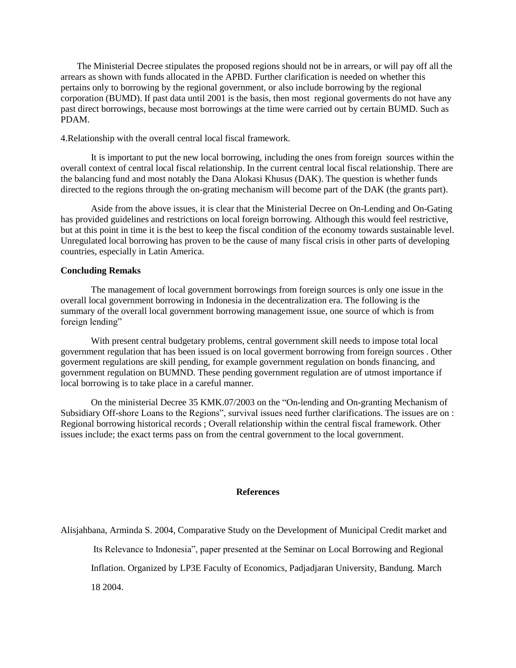The Ministerial Decree stipulates the proposed regions should not be in arrears, or will pay off all the arrears as shown with funds allocated in the APBD. Further clarification is needed on whether this pertains only to borrowing by the regional government, or also include borrowing by the regional corporation (BUMD). If past data until 2001 is the basis, then most regional goverments do not have any past direct borrowings, because most borrowings at the time were carried out by certain BUMD. Such as PDAM.

4.Relationship with the overall central local fiscal framework.

It is important to put the new local borrowing, including the ones from foreign sources within the overall context of central local fiscal relationship. In the current central local fiscal relationship. There are the balancing fund and most notably the Dana Alokasi Khusus (DAK). The question is whether funds directed to the regions through the on-grating mechanism will become part of the DAK (the grants part).

Aside from the above issues, it is clear that the Ministerial Decree on On-Lending and On-Gating has provided guidelines and restrictions on local foreign borrowing. Although this would feel restrictive, but at this point in time it is the best to keep the fiscal condition of the economy towards sustainable level. Unregulated local borrowing has proven to be the cause of many fiscal crisis in other parts of developing countries, especially in Latin America.

## **Concluding Remaks**

The management of local government borrowings from foreign sources is only one issue in the overall local government borrowing in Indonesia in the decentralization era. The following is the summary of the overall local government borrowing management issue, one source of which is from foreign lending"

With present central budgetary problems, central government skill needs to impose total local government regulation that has been issued is on local goverment borrowing from foreign sources . Other goverment regulations are skill pending, for example government regulation on bonds financing, and government regulation on BUMND. These pending government regulation are of utmost importance if local borrowing is to take place in a careful manner.

On the ministerial Decree 35 KMK.07/2003 on the "On-lending and On-granting Mechanism of Subsidiary Off-shore Loans to the Regions", survival issues need further clarifications. The issues are on : Regional borrowing historical records ; Overall relationship within the central fiscal framework. Other issues include; the exact terms pass on from the central government to the local government.

# **References**

Alisjahbana, Arminda S. 2004, Comparative Study on the Development of Municipal Credit market and

Its Relevance to Indonesia", paper presented at the Seminar on Local Borrowing and Regional

Inflation. Organized by LP3E Faculty of Economics, Padjadjaran University, Bandung. March

18 2004.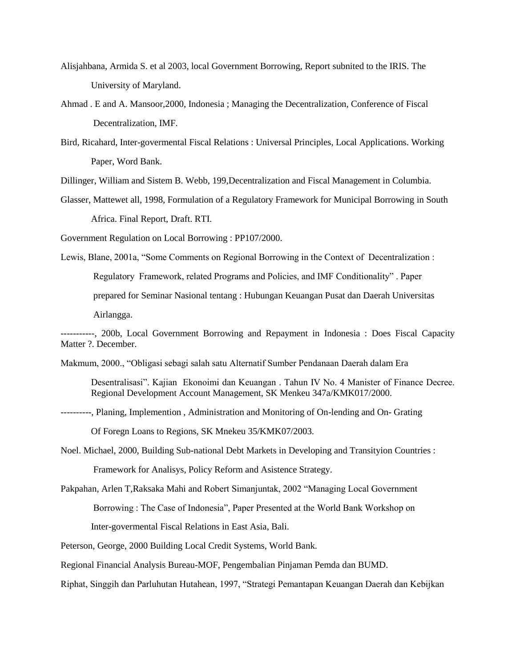- Alisjahbana, Armida S. et al 2003, local Government Borrowing, Report subnited to the IRIS. The University of Maryland.
- Ahmad . E and A. Mansoor,2000, Indonesia ; Managing the Decentralization, Conference of Fiscal Decentralization, IMF.
- Bird, Ricahard, Inter-govermental Fiscal Relations : Universal Principles, Local Applications. Working Paper, Word Bank.

Dillinger, William and Sistem B. Webb, 199,Decentralization and Fiscal Management in Columbia.

Glasser, Mattewet all, 1998, Formulation of a Regulatory Framework for Municipal Borrowing in South Africa. Final Report, Draft. RTI.

Government Regulation on Local Borrowing : PP107/2000.

Lewis, Blane, 2001a, "Some Comments on Regional Borrowing in the Context of Decentralization : Regulatory Framework, related Programs and Policies, and IMF Conditionality" . Paper prepared for Seminar Nasional tentang : Hubungan Keuangan Pusat dan Daerah Universitas Airlangga.

Makmum, 2000., "Obligasi sebagi salah satu Alternatif Sumber Pendanaan Daerah dalam Era

Desentralisasi". Kajian Ekonoimi dan Keuangan . Tahun IV No. 4 Manister of Finance Decree. Regional Development Account Management, SK Menkeu 347a/KMK017/2000.

----------, Planing, Implemention , Administration and Monitoring of On-lending and On- Grating

Of Foregn Loans to Regions, SK Mnekeu 35/KMK07/2003.

Noel. Michael, 2000, Building Sub-national Debt Markets in Developing and Transityion Countries : Framework for Analisys, Policy Reform and Asistence Strategy.

Pakpahan, Arlen T,Raksaka Mahi and Robert Simanjuntak, 2002 "Managing Local Government Borrowing : The Case of Indonesia", Paper Presented at the World Bank Workshop on

Inter-govermental Fiscal Relations in East Asia, Bali.

Peterson, George, 2000 Building Local Credit Systems, World Bank.

Regional Financial Analysis Bureau-MOF, Pengembalian Pinjaman Pemda dan BUMD.

Riphat, Singgih dan Parluhutan Hutahean, 1997, "Strategi Pemantapan Keuangan Daerah dan Kebijkan

<sup>-----------, 200</sup>b, Local Government Borrowing and Repayment in Indonesia : Does Fiscal Capacity Matter ?. December.